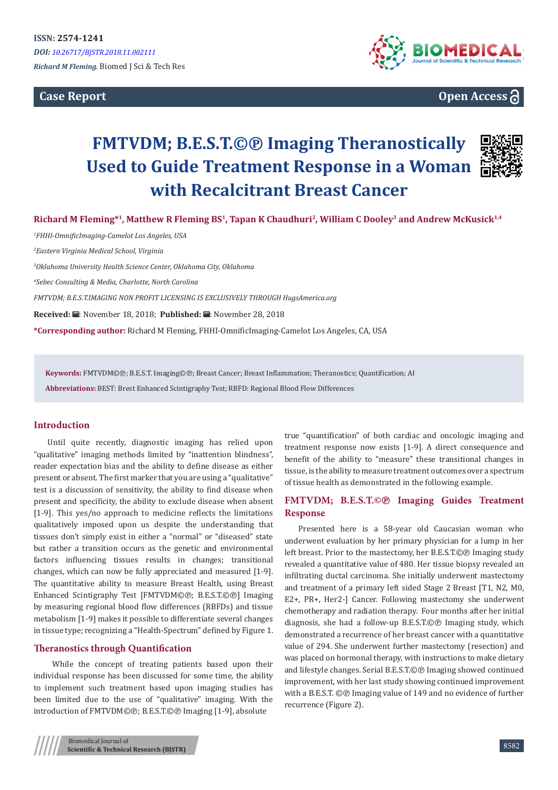**Case Report**



# **Open Access**

# **FMTVDM; B.E.S.T.©℗ Imaging Theranostically Used to Guide Treatment Response in a Woman with Recalcitrant Breast Cancer**



**Richard M Fleming\*<sup>1</sup>, Matthew R Fleming BS<sup>1</sup>, Tapan K Chaudhuri<sup>2</sup>, William C Dooley<sup>3</sup> and Andrew McKusick1,4**

 *FHHI-OmnificImaging-Camelot Los Angeles, USA Eastern Virginia Medical School, Virginia Oklahoma University Health Science Center, Oklahoma City, Oklahoma Sebec Consulting & Media, Charlotte, North Carolina FMTVDM; B.E.S.T.IMAGING NON PROFIT LICENSING IS EXCLUSIVELY THROUGH HugsAmerica.org*  Received: *a*: November 18, 2018; Published: a: November 28, 2018

**\*Corresponding author:** Richard M Fleming, FHHI-OmnificImaging-Camelot Los Angeles, CA, USA

**Keywords:** FMTVDM©℗; B.E.S.T. Imaging©℗; Breast Cancer; Breast Inflammation; Theranostics; Quantification; AI

**Abbreviations:** BEST: Brest Enhanced Scintigraphy Test; RBFD: Regional Blood Flow Differences

# **Introduction**

Until quite recently, diagnostic imaging has relied upon "qualitative" imaging methods limited by "inattention blindness", reader expectation bias and the ability to define disease as either present or absent. The first marker that you are using a "qualitative" test is a discussion of sensitivity, the ability to find disease when present and specificity, the ability to exclude disease when absent [1-9]. This yes/no approach to medicine reflects the limitations qualitatively imposed upon us despite the understanding that tissues don't simply exist in either a "normal" or "diseased" state but rather a transition occurs as the genetic and environmental factors influencing tissues results in changes; transitional changes, which can now be fully appreciated and measured [1-9]. The quantitative ability to measure Breast Health, using Breast Enhanced Scintigraphy Test [FMTVDM©℗; B.E.S.T.©℗] Imaging by measuring regional blood flow differences (RBFDs) and tissue metabolism [1-9] makes it possible to differentiate several changes in tissue type; recognizing a "Health-Spectrum" defined by Figure 1.

## **Theranostics through Quantification**

 While the concept of treating patients based upon their individual response has been discussed for some time, the ability to implement such treatment based upon imaging studies has been limited due to the use of "qualitative" imaging. With the introduction of FMTVDM©℗; B.E.S.T.©℗ Imaging [1-9], absolute

true "quantification" of both cardiac and oncologic imaging and treatment response now exists [1-9]. A direct consequence and benefit of the ability to "measure" these transitional changes in tissue, is the ability to measure treatment outcomes over a spectrum of tissue health as demonstrated in the following example.

# **FMTVDM; B.E.S.T.©℗ Imaging Guides Treatment Response**

Presented here is a 58-year old Caucasian woman who underwent evaluation by her primary physician for a lump in her left breast. Prior to the mastectomy, her B.E.S.T.©℗ Imaging study revealed a quantitative value of 480. Her tissue biopsy revealed an infiltrating ductal carcinoma. She initially underwent mastectomy and treatment of a primary left sided Stage 2 Breast [T1, N2, M0, E2+, PR+, Her2-] Cancer. Following mastectomy she underwent chemotherapy and radiation therapy. Four months after her initial diagnosis, she had a follow-up B.E.S.T.©℗ Imaging study, which demonstrated a recurrence of her breast cancer with a quantitative value of 294. She underwent further mastectomy (resection) and was placed on hormonal therapy, with instructions to make dietary and lifestyle changes. Serial B.E.S.T.©℗ Imaging showed continued improvement, with her last study showing continued improvement with a B.E.S.T. © <sup>D</sup> Imaging value of 149 and no evidence of further recurrence (Figure 2).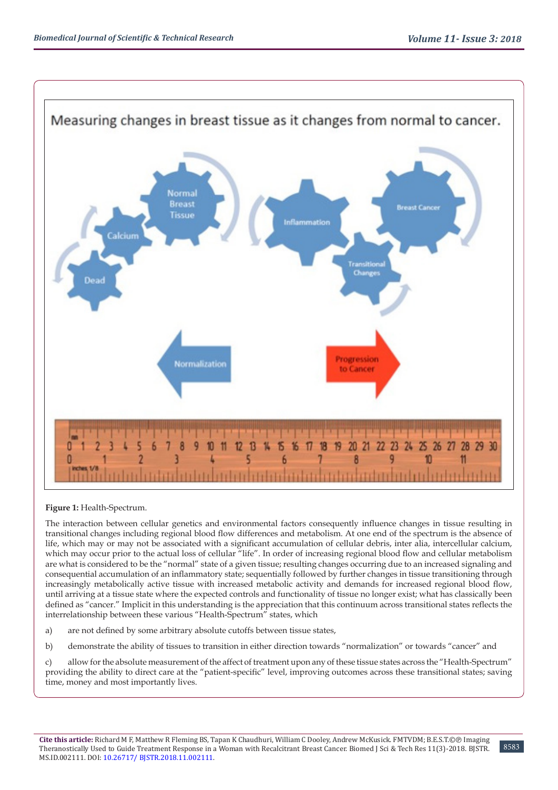

## **Figure 1:** Health-Spectrum.

The interaction between cellular genetics and environmental factors consequently influence changes in tissue resulting in transitional changes including regional blood flow differences and metabolism. At one end of the spectrum is the absence of life, which may or may not be associated with a significant accumulation of cellular debris, inter alia, intercellular calcium, which may occur prior to the actual loss of cellular "life". In order of increasing regional blood flow and cellular metabolism are what is considered to be the "normal" state of a given tissue; resulting changes occurring due to an increased signaling and consequential accumulation of an inflammatory state; sequentially followed by further changes in tissue transitioning through increasingly metabolically active tissue with increased metabolic activity and demands for increased regional blood flow, until arriving at a tissue state where the expected controls and functionality of tissue no longer exist; what has classically been defined as "cancer." Implicit in this understanding is the appreciation that this continuum across transitional states reflects the interrelationship between these various "Health-Spectrum" states, which

- a) are not defined by some arbitrary absolute cutoffs between tissue states,
- b) demonstrate the ability of tissues to transition in either direction towards "normalization" or towards "cancer" and

c) allow for the absolute measurement of the affect of treatment upon any of these tissue states across the "Health-Spectrum" providing the ability to direct care at the "patient-specific" level, improving outcomes across these transitional states; saving time, money and most importantly lives.

8583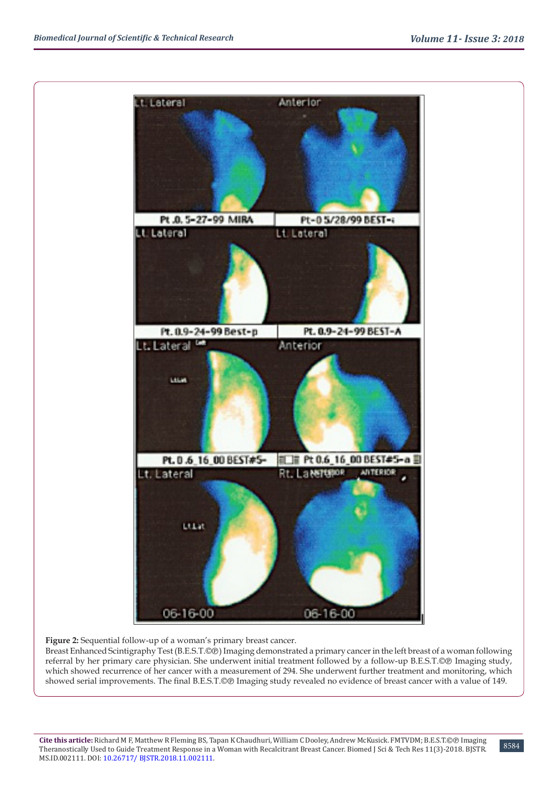

**Figure 2:** Sequential follow-up of a woman's primary breast cancer.

Breast Enhanced Scintigraphy Test (B.E.S.T.©®) Imaging demonstrated a primary cancer in the left breast of a woman following referral by her primary care physician. She underwent initial treatment followed by a follow-up B.E.S.T.©℗ Imaging study, which showed recurrence of her cancer with a measurement of 294. She underwent further treatment and monitoring, which showed serial improvements. The final B.E.S.T.©® Imaging study revealed no evidence of breast cancer with a value of 149.

8584